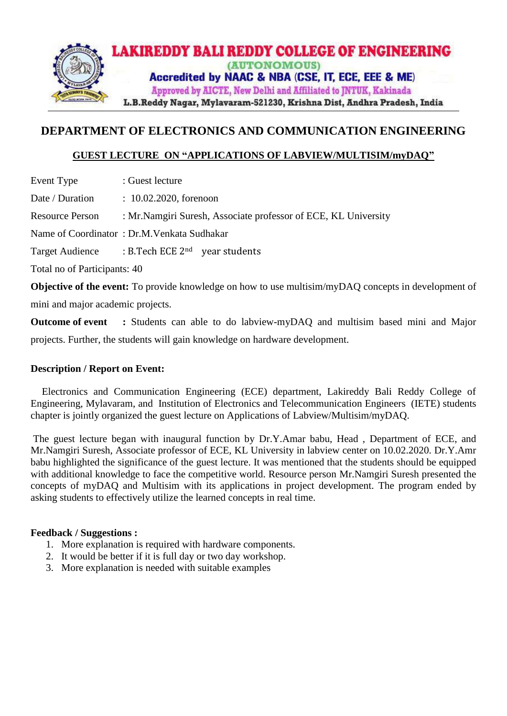

# **DEPARTMENT OF ELECTRONICS AND COMMUNICATION ENGINEERING**

# **GUEST LECTURE ON "APPLICATIONS OF LABVIEW/MULTISIM/myDAQ"**

Event Type : Guest lecture

Date / Duration : 10.02.2020, forenoon

Resource Person : Mr.Namgiri Suresh, Associate professor of ECE, KL University

Name of Coordinator : Dr.M.Venkata Sudhakar

Target Audience : B.Tech ECE 2nd year students

Total no of Participants: 40

**Objective of the event:** To provide knowledge on how to use multisim/myDAQ concepts in development of mini and major academic projects.

**Outcome of event :** Students can able to do labview-myDAQ and multisim based mini and Major projects. Further, the students will gain knowledge on hardware development.

## **Description / Report on Event:**

 Electronics and Communication Engineering (ECE) department, Lakireddy Bali Reddy College of Engineering, Mylavaram, and Institution of Electronics and Telecommunication Engineers (IETE) students chapter is jointly organized the guest lecture on Applications of Labview/Multisim/myDAQ.

The guest lecture began with inaugural function by Dr.Y.Amar babu, Head , Department of ECE, and Mr.Namgiri Suresh, Associate professor of ECE, KL University in labview center on 10.02.2020. Dr.Y.Amr babu highlighted the significance of the guest lecture. It was mentioned that the students should be equipped with additional knowledge to face the competitive world. Resource person Mr.Namgiri Suresh presented the concepts of myDAQ and Multisim with its applications in project development. The program ended by asking students to effectively utilize the learned concepts in real time.

## **Feedback / Suggestions :**

- 1. More explanation is required with hardware components.
- 2. It would be better if it is full day or two day workshop.
- 3. More explanation is needed with suitable examples